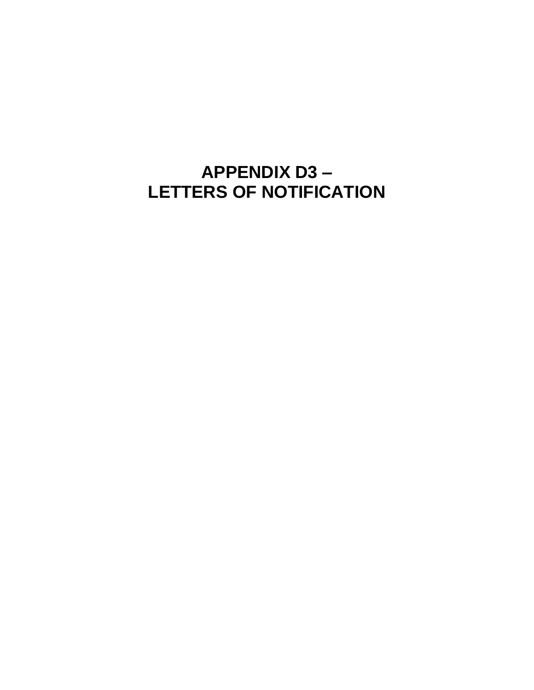## **APPENDIX D3 – LETTERS OF NOTIFICATION**